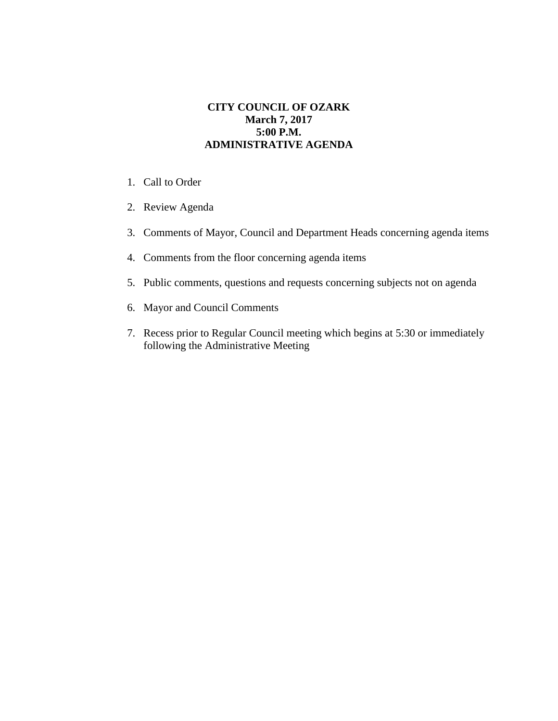## **CITY COUNCIL OF OZARK March 7, 2017 5:00 P.M. ADMINISTRATIVE AGENDA**

- 1. Call to Order
- 2. Review Agenda
- 3. Comments of Mayor, Council and Department Heads concerning agenda items
- 4. Comments from the floor concerning agenda items
- 5. Public comments, questions and requests concerning subjects not on agenda
- 6. Mayor and Council Comments
- 7. Recess prior to Regular Council meeting which begins at 5:30 or immediately following the Administrative Meeting